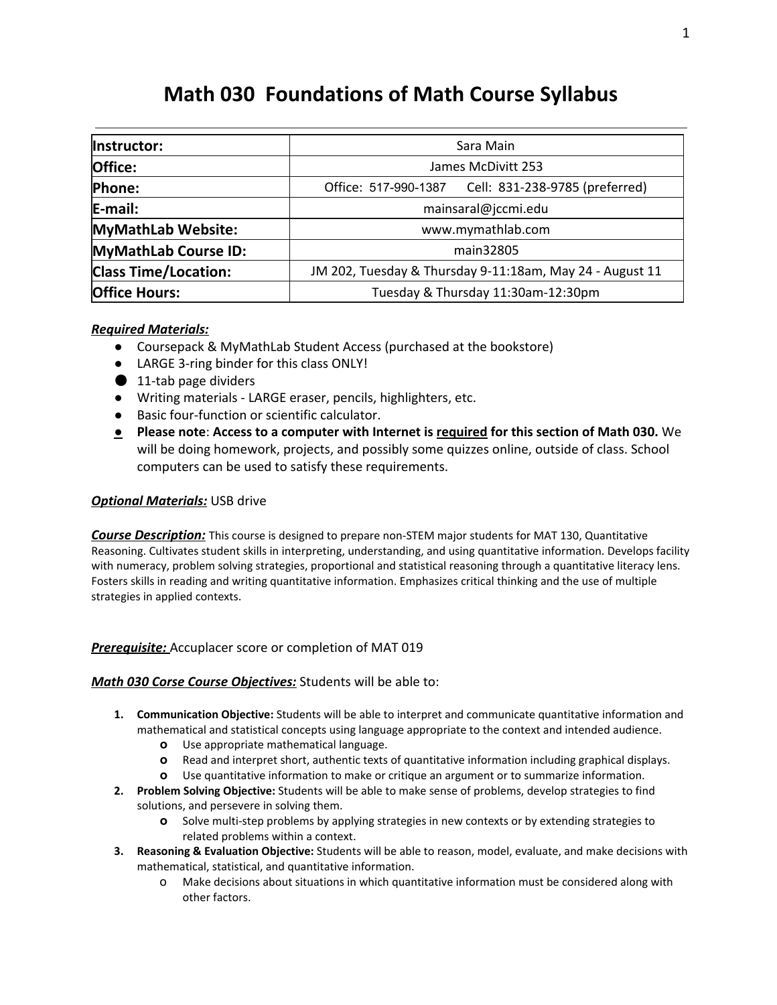# **Math 030 Foundations of Math Course Syllabus**

| Instructor:                 | Sara Main                                                |
|-----------------------------|----------------------------------------------------------|
| Office:                     | James McDivitt 253                                       |
| <b>Phone:</b>               | Cell: 831-238-9785 (preferred)<br>Office: 517-990-1387   |
| E-mail:                     | mainsaral@jccmi.edu                                      |
| MyMathLab Website:          | www.mymathlab.com                                        |
| MyMathLab Course ID:        | main32805                                                |
| <b>Class Time/Location:</b> | JM 202, Tuesday & Thursday 9-11:18am, May 24 - August 11 |
| <b>Office Hours:</b>        | Tuesday & Thursday 11:30am-12:30pm                       |

## *Required Materials:*

- Coursepack & MyMathLab Student Access (purchased at the bookstore)
- LARGE 3-ring binder for this class ONLY!
- $\bigcirc$  11-tab page dividers
- Writing materials LARGE eraser, pencils, highlighters, etc.
- Basic four-function or scientific calculator.
- **● Please note**: **Access to a computer withInternet is requiredfor this section of Math 030.** We will be doing homework, projects, and possibly some quizzes online, outside of class. School computers can be used to satisfy these requirements.

#### **Optional Materials: USB drive**

**Course Description:** This course is designed to prepare non-STEM major students for MAT 130, Quantitative Reasoning. Cultivates student skills in interpreting, understanding, and using quantitative information. Develops facility with numeracy, problem solving strategies, proportional and statistical reasoning through a quantitative literacy lens. Fosters skills in reading and writing quantitative information. Emphasizes critical thinking and the use of multiple strategies in applied contexts.

#### *Prerequisite:* Accuplacer score or completion of MAT 019

#### **Math 030 Corse Course Objectives:** Students will be able to:

- **1. Communication Objective:** Students will be able to interpret and communicate quantitative information and mathematical and statistical concepts using language appropriate to the context and intended audience.
	- **o** Use appropriate mathematical language.
	- **o** Read and interpret short, authentic texts of quantitative information including graphical displays.
	- **o** Use quantitative information to make or critique an argument or to summarize information.
- **2. Problem Solving Objective:** Students will be able to make sense of problems, develop strategies to find solutions, and persevere in solving them.
	- **o** Solve multi-step problems by applying strategies in new contexts or by extending strategies to related problems within a context.
- **3. Reasoning & Evaluation Objective:** Students will be able to reason, model, evaluate, and make decisions with mathematical, statistical, and quantitative information.
	- o Make decisions about situations in which quantitative information must be considered along with other factors.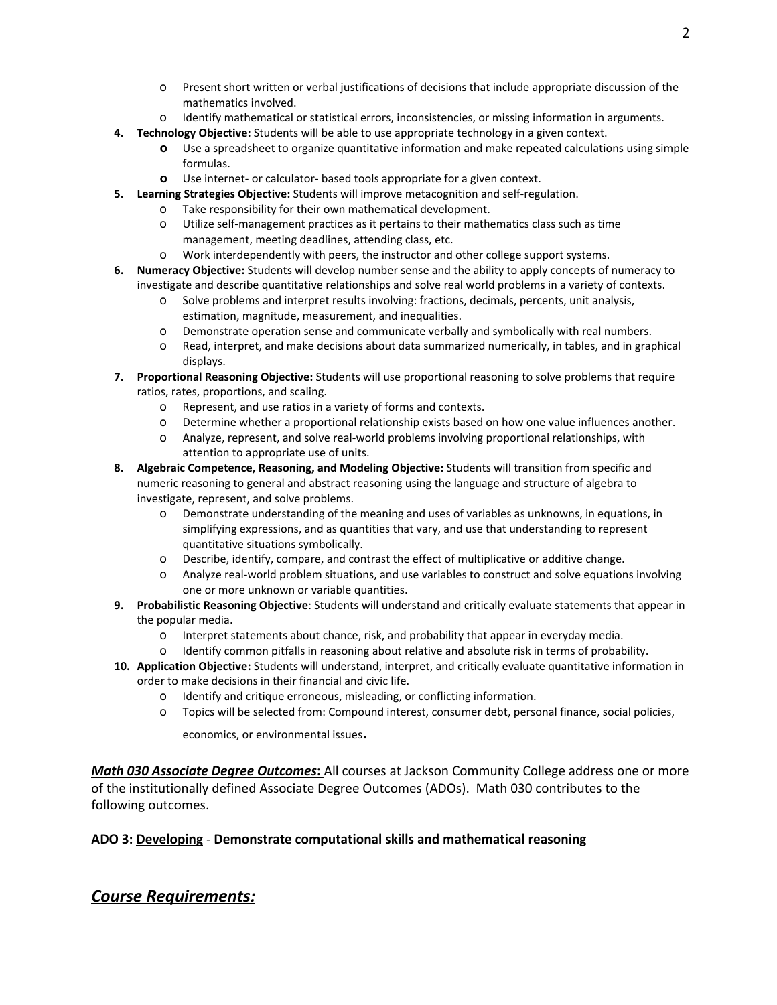- o Present short written or verbal justifications of decisions that include appropriate discussion of the mathematics involved.
- o Identify mathematical or statistical errors, inconsistencies, or missing information in arguments.
- **4. Technology Objective:** Students will be able to use appropriate technology in a given context.
	- **o** Use a spreadsheet to organize quantitative information and make repeated calculations using simple formulas.
	- **o** Use internet- or calculator- based tools appropriate for a given context.
- **5.** Learning Strategies Objective: Students will improve metacognition and self-regulation.
	- o Take responsibility for their own mathematical development.
	- o Utilize self-management practices as it pertains to their mathematics class such as time management, meeting deadlines, attending class, etc.
	- o Work interdependently with peers, the instructor and other college support systems.
- **6. Numeracy Objective:** Students will develop number sense and the ability to apply concepts of numeracy to investigate and describe quantitative relationships and solve real world problems in a variety of contexts.
	- o Solve problems and interpret results involving: fractions, decimals, percents, unit analysis, estimation, magnitude, measurement, and inequalities.
	- o Demonstrate operation sense and communicate verbally and symbolically with real numbers.
	- o Read, interpret, and make decisions about data summarized numerically, in tables, and in graphical displays.
- **7. Proportional Reasoning Objective:** Students will use proportional reasoning to solve problems that require ratios, rates, proportions, and scaling.
	- o Represent, and use ratios in a variety of forms and contexts.
	- o Determine whether a proportional relationship exists based on how one value influences another.
	- o Analyze, represent, and solve real-world problems involving proportional relationships, with attention to appropriate use of units.
- **8. Algebraic Competence, Reasoning, and Modeling Objective:** Students will transition from specific and numeric reasoning to general and abstract reasoning using the language and structure of algebra to investigate, represent, and solve problems.
	- o Demonstrate understanding of the meaning and uses of variables as unknowns, in equations, in simplifying expressions, and as quantities that vary, and use that understanding to represent quantitative situations symbolically.
	- o Describe, identify, compare, and contrast the effect of multiplicative or additive change.
	- o Analyze realworld problem situations, and use variables to construct and solve equations involving one or more unknown or variable quantities.
- **9. Probabilistic Reasoning Objective**: Students will understand and critically evaluate statements that appear in the popular media.
	- o Interpret statements about chance, risk, and probability that appear in everyday media.
	- o Identify common pitfalls in reasoning about relative and absolute risk in terms of probability.
- **10. Application Objective:**Students will understand, interpret, and critically evaluate quantitative information in order to make decisions in their financial and civic life.
	- o Identify and critique erroneous, misleading, or conflicting information.
	- o Topics will be selected from: Compound interest, consumer debt, personal finance, social policies,

economics, or environmental issues.

*Math 030 Associate Degree Outcomes***:**All courses at Jackson Community College address one or more of the institutionally defined Associate Degree Outcomes (ADOs). Math 030 contributes to the following outcomes.

### **ADO 3:Developing Demonstrate computational skills and mathematical reasoning**

# *Course Requirements:*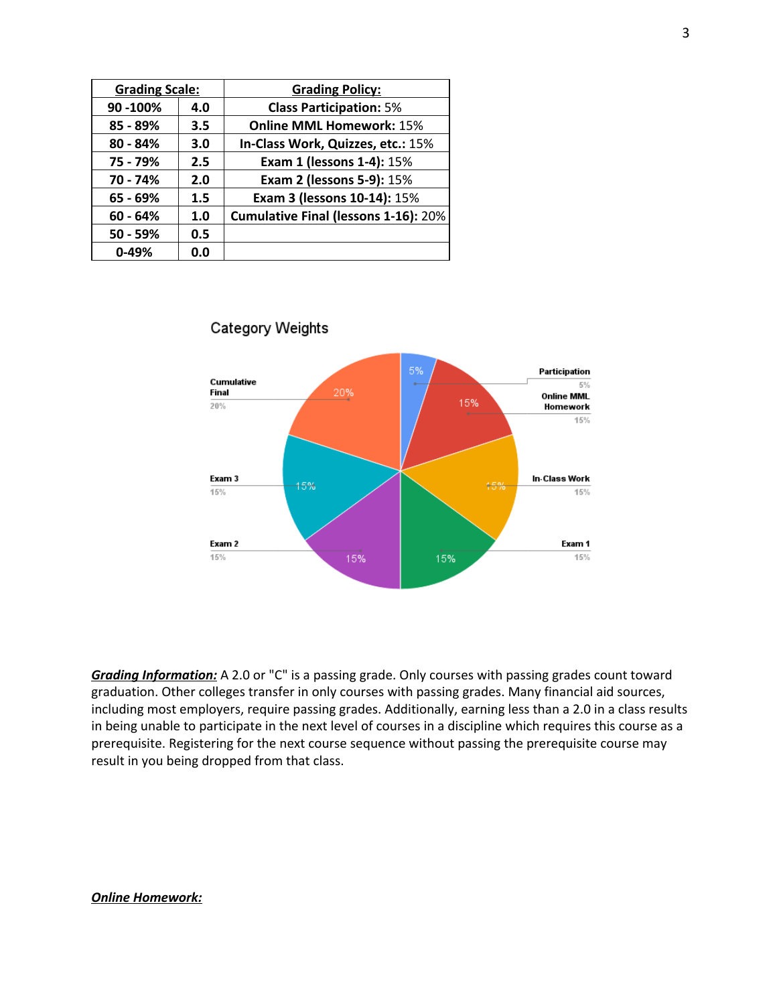| <b>Grading Scale:</b> |     | <b>Grading Policy:</b>                      |
|-----------------------|-----|---------------------------------------------|
| 90 - 100%             | 4.0 | <b>Class Participation: 5%</b>              |
| 85 - 89%              | 3.5 | <b>Online MML Homework: 15%</b>             |
| $80 - 84%$            | 3.0 | In-Class Work, Quizzes, etc.: 15%           |
| 75 - 79%              | 2.5 | <b>Exam 1 (lessons 1-4): 15%</b>            |
| 70 - 74%              | 2.0 | <b>Exam 2 (lessons 5-9): 15%</b>            |
| 65 - 69%              | 1.5 | Exam 3 (lessons 10-14): 15%                 |
| $60 - 64%$            | 1.0 | <b>Cumulative Final (lessons 1-16): 20%</b> |
| $50 - 59%$            | 0.5 |                                             |
| $0 - 49%$             | 0.0 |                                             |



# **Category Weights**

*Grading Information:*A 2.0 or "C" is a passing grade. Only courses with passing grades count toward graduation. Other colleges transfer in only courses with passing grades. Many financial aid sources, including most employers, require passing grades. Additionally, earning less than a 2.0 in a class results in being unable to participate in the next level of courses in a discipline which requires this course as a prerequisite. Registering for the next course sequence without passing the prerequisite course may result in you being dropped from that class.

#### *Online Homework:*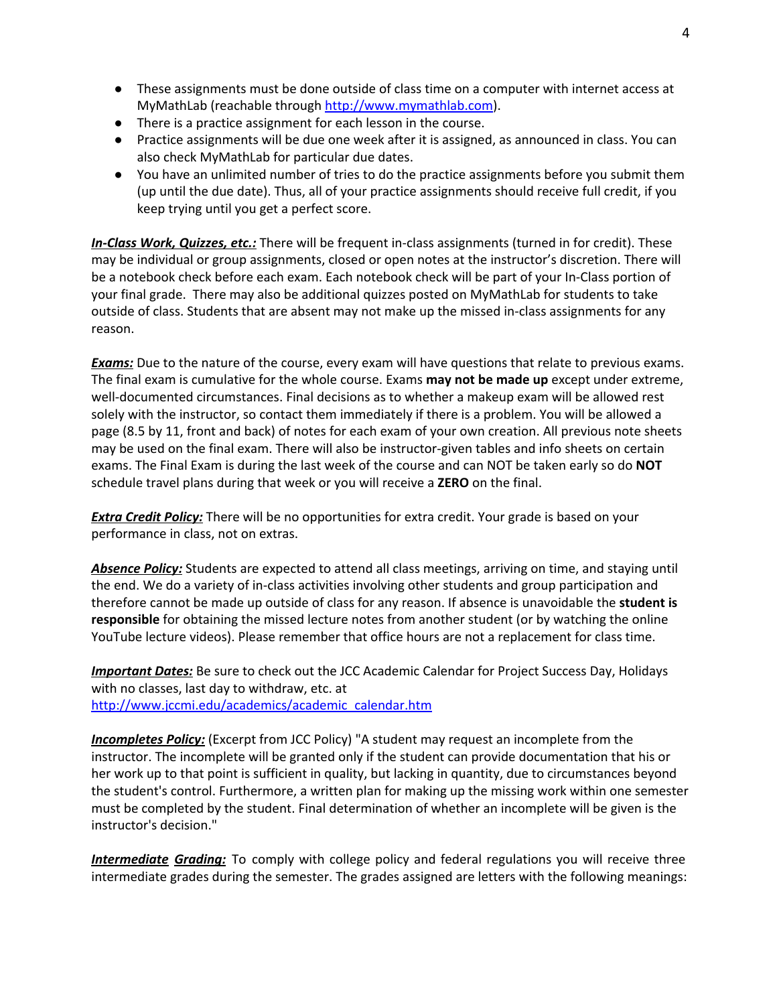- These assignments must be done outside of class time on a computer with internet access at MyMathLab (reachable through [http://www.mymathlab.com\)](http://www.mymathlab.com/).
- There is a practice assignment for each lesson in the course.
- Practice assignments will be due one week after it is assigned, as announced in class. You can also check MyMathLab for particular due dates.
- You have an unlimited number of tries to do the practice assignments before you submit them (up until the due date). Thus, all of your practice assignments should receive full credit, if you keep trying until you get a perfect score.

**In-Class Work, Quizzes, etc.:** There will be frequent in-class assignments (turned in for credit). These may be individual or group assignments, closed or open notes at the instructor's discretion. There will be a notebook check before each exam. Each notebook check will be part of your In-Class portion of your final grade. There may also be additional quizzes posted on MyMathLab for students to take outside of class. Students that are absent may not make up the missed in-class assignments for any reason.

**Exams:** Due to the nature of the course, every exam will have questions that relate to previous exams. The final exam is cumulative for the whole course. Exams **may not be made up**except under extreme, well-documented circumstances. Final decisions as to whether a makeup exam will be allowed rest solely with the instructor, so contact them immediately if there is a problem. You will be allowed a page (8.5 by 11, front and back) of notes for each exam of your own creation. All previous note sheets may be used on the final exam. There will also be instructor-given tables and info sheets on certain exams. The Final Exam is during the last week of the course and can NOT be taken early so do **NOT** schedule travel plans during that week or you will receive a **ZERO**on the final.

**Extra Credit Policy:** There will be no opportunities for extra credit. Your grade is based on your performance in class, not on extras.

*Absence Policy:*Students are expected to attend all class meetings, arriving on time, and staying until the end. We do a variety of in-class activities involving other students and group participation and therefore cannot be made up outside of class for any reason. If absence is unavoidable the **student is responsible**for obtaining the missed lecture notes from another student (or by watching the online YouTube lecture videos). Please remember that office hours are not a replacement for class time.

**Important Dates:** Be sure to check out the JCC Academic Calendar for Project Success Day, Holidays with no classes, last day to withdraw, etc. at [http://www.jccmi.edu/academics/academic\\_calendar.htm](http://www.jccmi.edu/academics/academic_calendar.htm)

*Incompletes Policy:*(Excerpt from JCC Policy) "A student may request an incomplete from the instructor. The incomplete will be granted only if the student can provide documentation that his or her work up to that point is sufficient in quality, but lacking in quantity, due to circumstances beyond the student's control. Furthermore, a written plan for making up the missing work within one semester must be completed by the student. Final determination of whether an incomplete will be given is the instructor's decision."

*Intermediate Grading:* To comply with college policy and federal regulations you will receive three intermediate grades during the semester. The grades assigned are letters with the following meanings: